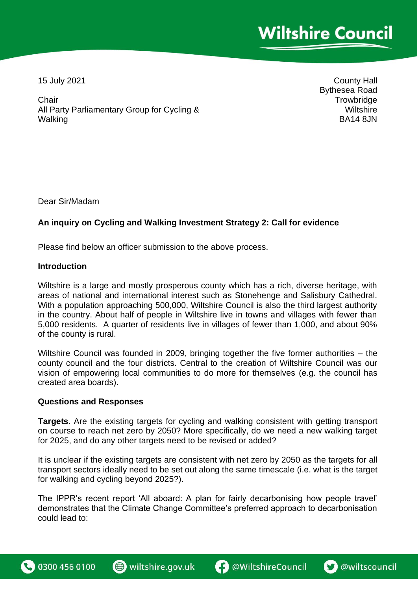15 July 2021

County Hall Bythesea Road **Trowbridge Wiltshire** BA14 8JN

**Chair** All Party Parliamentary Group for Cycling & **Walking** 

Dear Sir/Madam

## **An inquiry on Cycling and Walking Investment Strategy 2: Call for evidence**

Please find below an officer submission to the above process.

## **Introduction**

Wiltshire is a large and mostly prosperous county which has a rich, diverse heritage, with areas of national and international interest such as Stonehenge and Salisbury Cathedral. With a population approaching 500,000, Wiltshire Council is also the third largest authority in the country. About half of people in Wiltshire live in towns and villages with fewer than 5,000 residents. A quarter of residents live in villages of fewer than 1,000, and about 90% of the county is rural.

Wiltshire Council was founded in 2009, bringing together the five former authorities – the county council and the four districts. Central to the creation of Wiltshire Council was our vision of empowering local communities to do more for themselves (e.g. the council has created area boards).

## **Questions and Responses**

**Targets**. Are the existing targets for cycling and walking consistent with getting transport on course to reach net zero by 2050? More specifically, do we need a new walking target for 2025, and do any other targets need to be revised or added?

It is unclear if the existing targets are consistent with net zero by 2050 as the targets for all transport sectors ideally need to be set out along the same timescale (i.e. what is the target for walking and cycling beyond 2025?).

The IPPR's recent report 'All aboard: A plan for fairly decarbonising how people travel' demonstrates that the Climate Change Committee's preferred approach to decarbonisation could lead to:





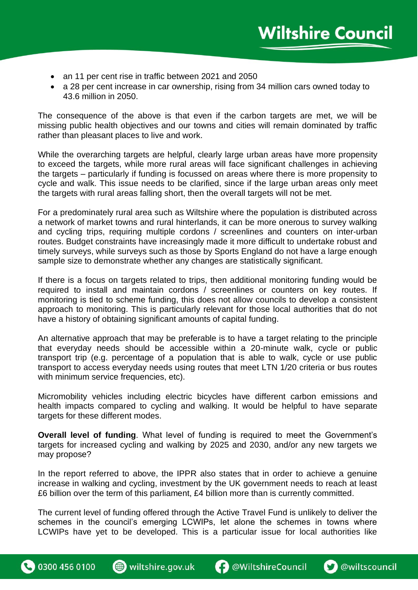- an 11 per cent rise in traffic between 2021 and 2050
- a 28 per cent increase in car ownership, rising from 34 million cars owned today to 43.6 million in 2050.

The consequence of the above is that even if the carbon targets are met, we will be missing public health objectives and our towns and cities will remain dominated by traffic rather than pleasant places to live and work.

While the overarching targets are helpful, clearly large urban areas have more propensity to exceed the targets, while more rural areas will face significant challenges in achieving the targets – particularly if funding is focussed on areas where there is more propensity to cycle and walk. This issue needs to be clarified, since if the large urban areas only meet the targets with rural areas falling short, then the overall targets will not be met.

For a predominately rural area such as Wiltshire where the population is distributed across a network of market towns and rural hinterlands, it can be more onerous to survey walking and cycling trips, requiring multiple cordons / screenlines and counters on inter-urban routes. Budget constraints have increasingly made it more difficult to undertake robust and timely surveys, while surveys such as those by Sports England do not have a large enough sample size to demonstrate whether any changes are statistically significant.

If there is a focus on targets related to trips, then additional monitoring funding would be required to install and maintain cordons / screenlines or counters on key routes. If monitoring is tied to scheme funding, this does not allow councils to develop a consistent approach to monitoring. This is particularly relevant for those local authorities that do not have a history of obtaining significant amounts of capital funding.

An alternative approach that may be preferable is to have a target relating to the principle that everyday needs should be accessible within a 20-minute walk, cycle or public transport trip (e.g. percentage of a population that is able to walk, cycle or use public transport to access everyday needs using routes that meet LTN 1/20 criteria or bus routes with minimum service frequencies, etc).

Micromobility vehicles including electric bicycles have different carbon emissions and health impacts compared to cycling and walking. It would be helpful to have separate targets for these different modes.

**Overall level of funding**. What level of funding is required to meet the Government's targets for increased cycling and walking by 2025 and 2030, and/or any new targets we may propose?

In the report referred to above, the IPPR also states that in order to achieve a genuine increase in walking and cycling, investment by the UK government needs to reach at least £6 billion over the term of this parliament, £4 billion more than is currently committed.

The current level of funding offered through the Active Travel Fund is unlikely to deliver the schemes in the council's emerging LCWIPs, let alone the schemes in towns where LCWIPs have yet to be developed. This is a particular issue for local authorities like



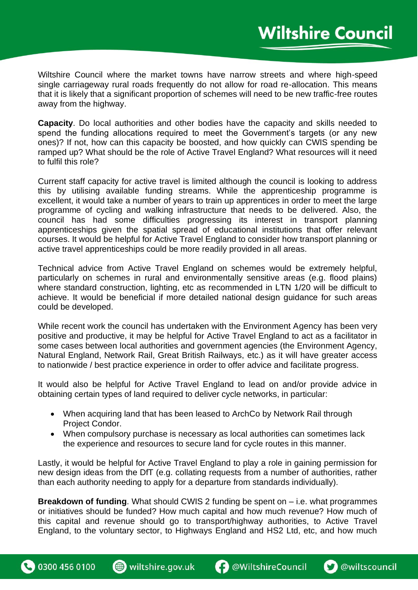Wiltshire Council where the market towns have narrow streets and where high-speed single carriageway rural roads frequently do not allow for road re-allocation. This means that it is likely that a significant proportion of schemes will need to be new traffic-free routes away from the highway.

**Capacity**. Do local authorities and other bodies have the capacity and skills needed to spend the funding allocations required to meet the Government's targets (or any new ones)? If not, how can this capacity be boosted, and how quickly can CWIS spending be ramped up? What should be the role of Active Travel England? What resources will it need to fulfil this role?

Current staff capacity for active travel is limited although the council is looking to address this by utilising available funding streams. While the apprenticeship programme is excellent, it would take a number of years to train up apprentices in order to meet the large programme of cycling and walking infrastructure that needs to be delivered. Also, the council has had some difficulties progressing its interest in transport planning apprenticeships given the spatial spread of educational institutions that offer relevant courses. It would be helpful for Active Travel England to consider how transport planning or active travel apprenticeships could be more readily provided in all areas.

Technical advice from Active Travel England on schemes would be extremely helpful, particularly on schemes in rural and environmentally sensitive areas (e.g. flood plains) where standard construction, lighting, etc as recommended in LTN 1/20 will be difficult to achieve. It would be beneficial if more detailed national design guidance for such areas could be developed.

While recent work the council has undertaken with the Environment Agency has been very positive and productive, it may be helpful for Active Travel England to act as a facilitator in some cases between local authorities and government agencies (the Environment Agency, Natural England, Network Rail, Great British Railways, etc.) as it will have greater access to nationwide / best practice experience in order to offer advice and facilitate progress.

It would also be helpful for Active Travel England to lead on and/or provide advice in obtaining certain types of land required to deliver cycle networks, in particular:

- When acquiring land that has been leased to ArchCo by Network Rail through Project Condor.
- When compulsory purchase is necessary as local authorities can sometimes lack the experience and resources to secure land for cycle routes in this manner.

Lastly, it would be helpful for Active Travel England to play a role in gaining permission for new design ideas from the DfT (e.g. collating requests from a number of authorities, rather than each authority needing to apply for a departure from standards individually).

**Breakdown of funding**. What should CWIS 2 funding be spent on – i.e. what programmes or initiatives should be funded? How much capital and how much revenue? How much of this capital and revenue should go to transport/highway authorities, to Active Travel England, to the voluntary sector, to Highways England and HS2 Ltd, etc, and how much

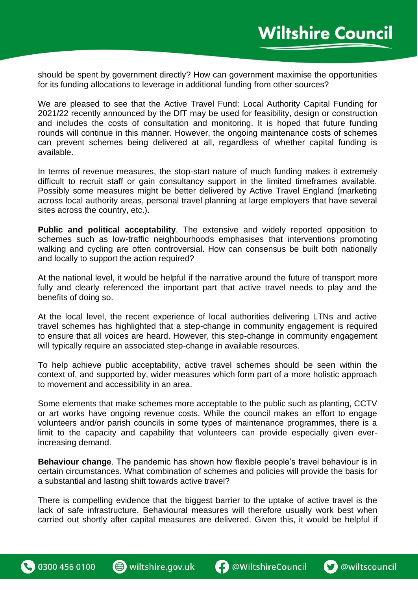should be spent by government directly? How can government maximise the opportunities for its funding allocations to leverage in additional funding from other sources?

We are pleased to see that the Active Travel Fund: Local Authority Capital Funding for 2021/22 recently announced by the DfT may be used for feasibility, design or construction and includes the costs of consultation and monitoring. It is hoped that future funding rounds will continue in this manner. However, the ongoing maintenance costs of schemes can prevent schemes being delivered at all, regardless of whether capital funding is available.

In terms of revenue measures, the stop-start nature of much funding makes it extremely difficult to recruit staff or gain consultancy support in the limited timeframes available. Possibly some measures might be better delivered by Active Travel England (marketing across local authority areas, personal travel planning at large employers that have several sites across the country, etc.).

**Public and political acceptability**. The extensive and widely reported opposition to schemes such as low-traffic neighbourhoods emphasises that interventions promoting walking and cycling are often controversial. How can consensus be built both nationally and locally to support the action required?

At the national level, it would be helpful if the narrative around the future of transport more fully and clearly referenced the important part that active travel needs to play and the benefits of doing so.

At the local level, the recent experience of local authorities delivering LTNs and active travel schemes has highlighted that a step-change in community engagement is required to ensure that all voices are heard. However, this step-change in community engagement will typically require an associated step-change in available resources.

To help achieve public acceptability, active travel schemes should be seen within the context of, and supported by, wider measures which form part of a more holistic approach to movement and accessibility in an area.

Some elements that make schemes more acceptable to the public such as planting, CCTV or art works have ongoing revenue costs. While the council makes an effort to engage volunteers and/or parish councils in some types of maintenance programmes, there is a limit to the capacity and capability that volunteers can provide especially given everincreasing demand.

**Behaviour change**. The pandemic has shown how flexible people's travel behaviour is in certain circumstances. What combination of schemes and policies will provide the basis for a substantial and lasting shift towards active travel?

There is compelling evidence that the biggest barrier to the uptake of active travel is the lack of safe infrastructure. Behavioural measures will therefore usually work best when carried out shortly after capital measures are delivered. Given this, it would be helpful if



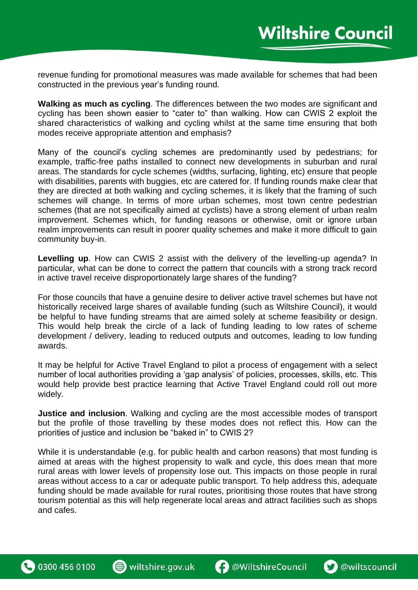revenue funding for promotional measures was made available for schemes that had been constructed in the previous year's funding round.

**Walking as much as cycling**. The differences between the two modes are significant and cycling has been shown easier to "cater to" than walking. How can CWIS 2 exploit the shared characteristics of walking and cycling whilst at the same time ensuring that both modes receive appropriate attention and emphasis?

Many of the council's cycling schemes are predominantly used by pedestrians; for example, traffic-free paths installed to connect new developments in suburban and rural areas. The standards for cycle schemes (widths, surfacing, lighting, etc) ensure that people with disabilities, parents with buggies, etc are catered for. If funding rounds make clear that they are directed at both walking and cycling schemes, it is likely that the framing of such schemes will change. In terms of more urban schemes, most town centre pedestrian schemes (that are not specifically aimed at cyclists) have a strong element of urban realm improvement. Schemes which, for funding reasons or otherwise, omit or ignore urban realm improvements can result in poorer quality schemes and make it more difficult to gain community buy-in.

**Levelling up**. How can CWIS 2 assist with the delivery of the levelling-up agenda? In particular, what can be done to correct the pattern that councils with a strong track record in active travel receive disproportionately large shares of the funding?

For those councils that have a genuine desire to deliver active travel schemes but have not historically received large shares of available funding (such as Wiltshire Council), it would be helpful to have funding streams that are aimed solely at scheme feasibility or design. This would help break the circle of a lack of funding leading to low rates of scheme development / delivery, leading to reduced outputs and outcomes, leading to low funding awards.

It may be helpful for Active Travel England to pilot a process of engagement with a select number of local authorities providing a 'gap analysis' of policies, processes, skills, etc. This would help provide best practice learning that Active Travel England could roll out more widely.

**Justice and inclusion**. Walking and cycling are the most accessible modes of transport but the profile of those travelling by these modes does not reflect this. How can the priorities of justice and inclusion be "baked in" to CWIS 2?

While it is understandable (e.g. for public health and carbon reasons) that most funding is aimed at areas with the highest propensity to walk and cycle, this does mean that more rural areas with lower levels of propensity lose out. This impacts on those people in rural areas without access to a car or adequate public transport. To help address this, adequate funding should be made available for rural routes, prioritising those routes that have strong tourism potential as this will help regenerate local areas and attract facilities such as shops and cafes.